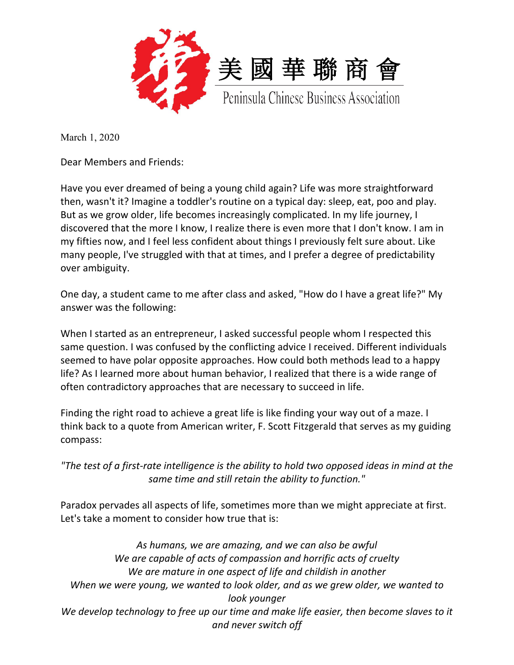

March 1, 2020

Dear Members and Friends:

Have you ever dreamed of being a young child again? Life was more straightforward then, wasn't it? Imagine a toddler's routine on a typical day: sleep, eat, poo and play. But as we grow older, life becomes increasingly complicated. In my life journey, I discovered that the more I know, I realize there is even more that I don't know. I am in my fifties now, and I feel less confident about things I previously felt sure about. Like many people, I've struggled with that at times, and I prefer a degree of predictability over ambiguity.

One day, a student came to me after class and asked, "How do I have a great life?" My answer was the following:

When I started as an entrepreneur, I asked successful people whom I respected this same question. I was confused by the conflicting advice I received. Different individuals seemed to have polar opposite approaches. How could both methods lead to a happy life? As I learned more about human behavior, I realized that there is a wide range of often contradictory approaches that are necessary to succeed in life.

Finding the right road to achieve a great life is like finding your way out of a maze. I think back to a quote from American writer, F. Scott Fitzgerald that serves as my guiding compass:

*"The test of a first-rate intelligence is the ability to hold two opposed ideas in mind at the same time and still retain the ability to function."*

Paradox pervades all aspects of life, sometimes more than we might appreciate at first. Let's take a moment to consider how true that is:

*As humans, we are amazing, and we can also be awful We are capable of acts of compassion and horrific acts of cruelty We are mature in one aspect of life and childish in another When we were young, we wanted to look older, and as we grew older, we wanted to look younger We develop technology to free up our time and make life easier, then become slaves to it and never switch off*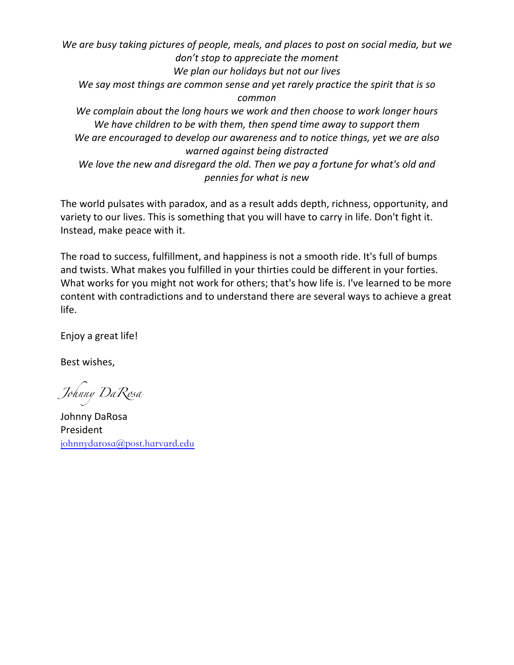*We are busy taking pictures of people, meals, and places to post on social media, but we don't stop to appreciate the moment We plan our holidays but not our lives We say most things are common sense and yet rarely practice the spirit that is so common We complain about the long hours we work and then choose to work longer hours We have children to be with them, then spend time away to support them We are encouraged to develop our awareness and to notice things, yet we are also warned against being distracted We love the new and disregard the old. Then we pay a fortune for what's old and pennies for what is new*

The world pulsates with paradox, and as a result adds depth, richness, opportunity, and variety to our lives. This is something that you will have to carry in life. Don't fight it. Instead, make peace with it.

The road to success, fulfillment, and happiness is not a smooth ride. It's full of bumps and twists. What makes you fulfilled in your thirties could be different in your forties. What works for you might not work for others; that's how life is. I've learned to be more content with contradictions and to understand there are several ways to achieve a great life.

Enjoy a great life!

Best wishes,

*Johnny DaRosa*

Johnny DaRosa President johnnydarosa@post.harvard.edu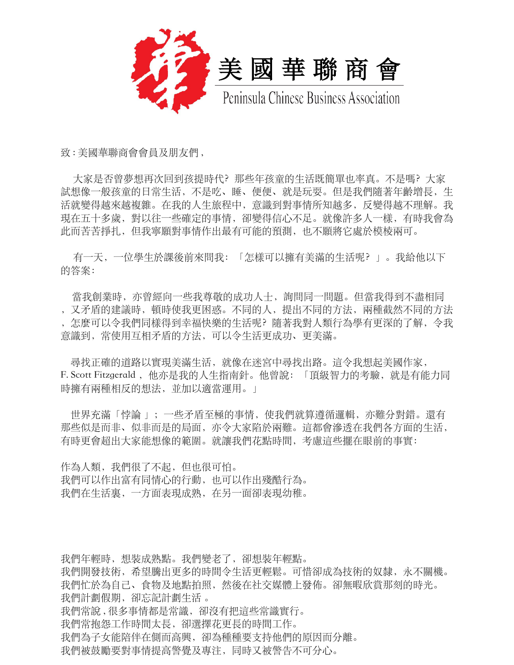

致 : 美國華聯商會會員及朋友們 ,

大家是否曾夢想再次回到孩提時代?那些年孩童的生活既簡單也率真。不是嗎? 大家 試想像一般孩童的日常生活,不是吃、睡、便便、就是玩耍。但是我們隨著年齡增長,生 活就變得越來越複雜。在我的人生旅程中, 意識到對事情所知越多, 反變得越不理解。我 現在五十多歲, 對以往一些確定的事情, 卻變得信心不足。就像許多人一樣, 有時我會為 此而苦苦掙扎,但我寧願對事情作出最有可能的預測,也不願將它處於模棱兩可。

有一天, 一位學生於課後前來問我: 「怎樣可以擁有美滿的生活呢? 」。我給他以下 的答案:

當我創業時,亦曾經向一些我尊敬的成功人士,詢問同一問題。但當我得到不盡相同 ,又矛盾的建議時,頓時使我更困惑。不同的人,提出不同的方法,兩種截然不同的方法 , 怎麼可以令我們同樣得到幸福快樂的生活呢? 隨著我對人類行為學有更深的了解, 令我 意識到,常使用互相矛盾的方法,可以令生活更成功、更美滿。

 尋找正確的道路以實現美滿⽣活,就像在迷宮中尋找出路。這令我想起美國作家, F. Scott Fitzgerald, 他亦是我的人生指南針。他曾說: 「頂級智力的考驗, 就是有能力同 時擁有兩種相反的想法,並加以適當運用。

世界充滿「悖論 」; 一些矛盾至極的事情, 使我們就算遵循邏輯, 亦難分對錯。還有 那些似是而非、似非而是的局面,亦令大家陷於兩難。這都會滲透在我們各方面的生活, 有時更會超出⼤家能想像的範圍。就讓我們花點時間,考慮這些擺在眼前的事實:

作為人類,我們很了不起,但也很可怕。 我們可以作出富有同情心的行動,也可以作出殘酷行為。 我們在生活裏,一方面表現成熟,在另一面卻表現幼稚。

我們年輕時,想裝成熟點。我們變老了,卻想裝年輕點。 我們開發技術,希望騰出更多的時間令生活更輕鬆。可惜卻成為技術的奴隸,永不關機。 我們忙於為自己、食物及地點拍照,然後在社交媒體上發佈。卻無暇欣賞那刻的時光。 我們計劃假期,卻忘記計劃生活 。 我們常說,很多事情都是常識, 卻沒有把這些常識實行。 我們常抱怨工作時間太長, 卻選擇花更長的時間工作。 我們為子女能陪伴在側而高興,卻為種種要支持他們的原因而分離。 我們被鼓勵要對事情提高警覺及專注,同時又被警告不可分心。